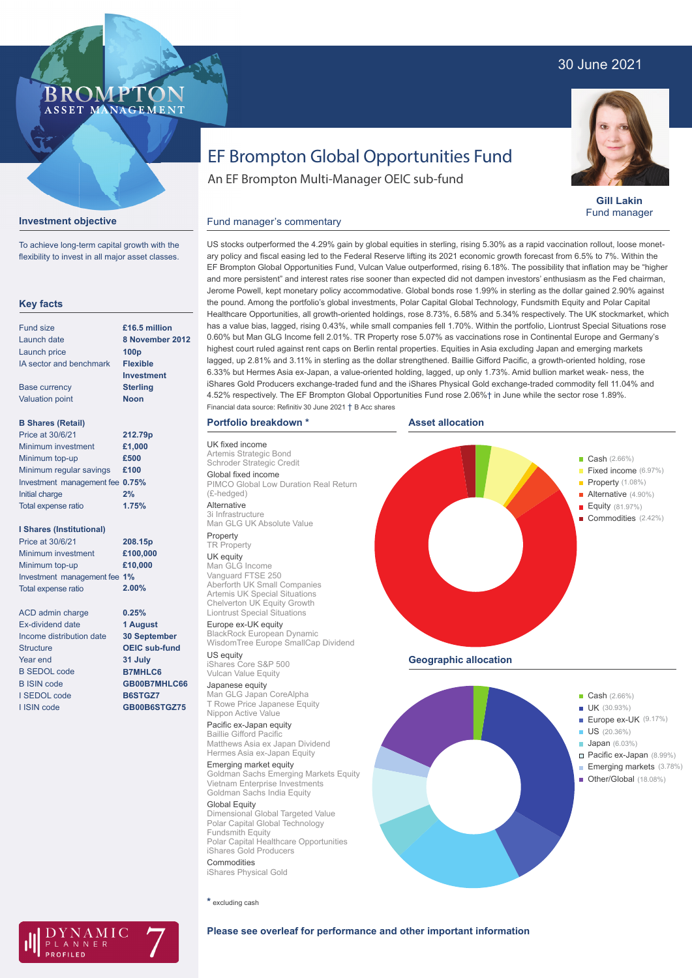## 30 June 2021



**Investment objective**

To achieve long-term capital growth with the flexibility to invest in all major asset classes.



**Gill Lakin** Fund manager

# EF Brompton Global Opportunities Fund

An EF Brompton Multi-Manager OEIC sub-fund

## Fund manager's commentary

**Key facts** Fund size Launch date Launch price IA sector and benchmark Base currency Valuation point **B Shares (Retail)** Minimum investment Minimum top-up Minimum regular savings **£100** Investment management fee **0.75%** Initial charge Total expense ratio **I Shares (Institutional)** Minimum investment Minimum top-up Investment management fee **1%** Total expense ratio ACD admin charge Ex-dividend date Income distribution date **Structure** Year end B SEDOL code B ISIN code I SEDOL code I ISIN code **8 November 2012 100p Flexible Investment Sterling Noon £1,000 £500 2% £100,000 £10,000 0.25% 1 August 30 September OEIC sub-fund 31 July B7MHLC6 GB00B7MHLC66 B6STGZ7 GB00B6STGZ75 £16.5 million 212.79p 208.15p** Price at 30/6/21 Price at 30/6/21 **1.75% 2.00%**

US stocks outperformed the 4.29% gain by global equities in sterling, rising 5.30% as a rapid vaccination rollout, loose monetary policy and fiscal easing led to the Federal Reserve lifting its 2021 economic growth forecast from 6.5% to 7%. Within the EF Brompton Global Opportunities Fund, Vulcan Value outperformed, rising 6.18%. The possibility that inflation may be "higher and more persistent" and interest rates rise sooner than expected did not dampen investors' enthusiasm as the Fed chairman, Jerome Powell, kept monetary policy accommodative. Global bonds rose 1.99% in sterling as the dollar gained 2.90% against the pound. Among the portfolio's global investments, Polar Capital Global Technology, Fundsmith Equity and Polar Capital Healthcare Opportunities, all growth-oriented holdings, rose 8.73%, 6.58% and 5.34% respectively. The UK stockmarket, which has a value bias, lagged, rising 0.43%, while small companies fell 1.70%. Within the portfolio, Liontrust Special Situations rose 0.60% but Man GLG Income fell 2.01%. TR Property rose 5.07% as vaccinations rose in Continental Europe and Germany's highest court ruled against rent caps on Berlin rental properties. Equities in Asia excluding Japan and emerging markets lagged, up 2.81% and 3.11% in sterling as the dollar strengthened. Baillie Gifford Pacific, a growth-oriented holding, rose 6.33% but Hermes Asia ex-Japan, a value-oriented holding, lagged, up only 1.73%. Amid bullion market weak- ness, the iShares Gold Producers exchange-traded fund and the iShares Physical Gold exchange-traded commodity fell 11.04% and 4.52% respectively. The EF Brompton Global Opportunities Fund rose 2.06%† in June while the sector rose 1.89%. Financial data source: Refinitiv 30 June 2021 † B Acc shares

**Asset allocation**

### **Portfolio breakdown \***

UK fixed income Artemis Strategic Bond Schroder Strategic Credit Global fixed income PIMCO Global Low Duration Real Return (£-hedged)

Alternative 3i Infrastructure Man GLG UK Absolute Value

#### Property **TR Property**

UK equity Man GLG Income Vanguard FTSE 250 Aberforth UK Small Companies Artemis UK Special Situations Chelverton UK Equity Growth Liontrust Special Situations

Europe ex-UK equity BlackRock European Dynamic WisdomTree Europe SmallCap Dividend US equity

iShares Core S&P 500 Vulcan Value Equity

Japanese equity Man GLG Japan CoreAlpha T Rowe Price Japanese Equity Nippon Active Value

Pacific ex-Japan equity Baillie Gifford Pacific Matthews Asia ex Japan Dividend Hermes Asia ex-Japan Equity

Emerging market equity Goldman Sachs Emerging Markets Equity Vietnam Enterprise Investments Goldman Sachs India Equity

Global Equity Dimensional Global Targeted Value Polar Capital Global Technology Fundsmith Equity Polar Capital Healthcare Opportunities iShares Gold Producers Commodities iShares Physical Gold





- 
- Alternative (4.90%)
- Equity (81.97%)
- Commodities (2.42%)

**Geographic allocation**



**\*** excluding cash



**Please see overleaf for performance and other important information**